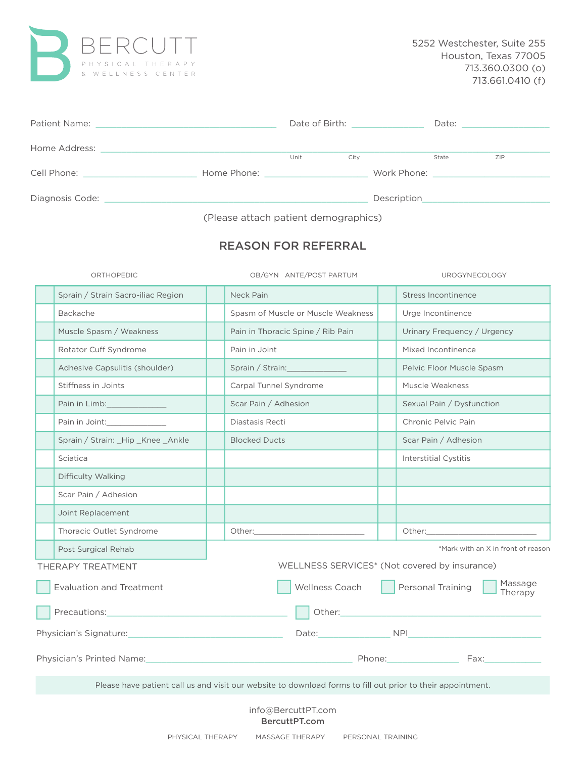

| Patient Name:<br>the control of the control of the control of the control of the control of the control of |             |      |      | Date of Birth: National State of Birth: |       |     |  |
|------------------------------------------------------------------------------------------------------------|-------------|------|------|-----------------------------------------|-------|-----|--|
| Home Address:                                                                                              |             | Unit | City |                                         | State | ZIP |  |
| Cell Phone:                                                                                                | Home Phone: |      |      |                                         |       |     |  |
| Diagnosis Code:                                                                                            |             |      |      | Description                             |       |     |  |

(Please attach patient demographics)

## REASON FOR REFERRAL

| ORTHOPEDIC                                                                                                     | OB/GYN ANTE/POST PARTUM                                                                                     | UROGYNECOLOGY                                                                                                                                                                                                                                 |  |  |  |  |
|----------------------------------------------------------------------------------------------------------------|-------------------------------------------------------------------------------------------------------------|-----------------------------------------------------------------------------------------------------------------------------------------------------------------------------------------------------------------------------------------------|--|--|--|--|
| Sprain / Strain Sacro-iliac Region                                                                             | Neck Pain                                                                                                   | Stress Incontinence                                                                                                                                                                                                                           |  |  |  |  |
| Backache                                                                                                       | Spasm of Muscle or Muscle Weakness                                                                          | Urge Incontinence                                                                                                                                                                                                                             |  |  |  |  |
| Muscle Spasm / Weakness                                                                                        | Pain in Thoracic Spine / Rib Pain                                                                           | Urinary Frequency / Urgency                                                                                                                                                                                                                   |  |  |  |  |
| Rotator Cuff Syndrome                                                                                          | Pain in Joint                                                                                               | Mixed Incontinence                                                                                                                                                                                                                            |  |  |  |  |
| Adhesive Capsulitis (shoulder)                                                                                 | Sprain / Strain:                                                                                            | Pelvic Floor Muscle Spasm                                                                                                                                                                                                                     |  |  |  |  |
| Stiffness in Joints                                                                                            | Carpal Tunnel Syndrome                                                                                      | Muscle Weakness                                                                                                                                                                                                                               |  |  |  |  |
|                                                                                                                | Scar Pain / Adhesion                                                                                        | Sexual Pain / Dysfunction                                                                                                                                                                                                                     |  |  |  |  |
| Pain in Joint:                                                                                                 | Diastasis Recti                                                                                             | Chronic Pelvic Pain                                                                                                                                                                                                                           |  |  |  |  |
| Sprain / Strain: Hip _Knee _Ankle                                                                              | <b>Blocked Ducts</b>                                                                                        | Scar Pain / Adhesion                                                                                                                                                                                                                          |  |  |  |  |
| Sciatica                                                                                                       |                                                                                                             | <b>Interstitial Cystitis</b>                                                                                                                                                                                                                  |  |  |  |  |
| Difficulty Walking                                                                                             |                                                                                                             |                                                                                                                                                                                                                                               |  |  |  |  |
| Scar Pain / Adhesion                                                                                           |                                                                                                             |                                                                                                                                                                                                                                               |  |  |  |  |
| Joint Replacement                                                                                              |                                                                                                             |                                                                                                                                                                                                                                               |  |  |  |  |
| Thoracic Outlet Syndrome                                                                                       |                                                                                                             | Other:                                                                                                                                                                                                                                        |  |  |  |  |
| Post Surgical Rehab                                                                                            | *Mark with an X in front of reason                                                                          |                                                                                                                                                                                                                                               |  |  |  |  |
| THERAPY TREATMENT                                                                                              |                                                                                                             | WELLNESS SERVICES* (Not covered by insurance)                                                                                                                                                                                                 |  |  |  |  |
| <b>Evaluation and Treatment</b>                                                                                | Wellness Coach                                                                                              | Massage<br>Personal Training<br>Therapy                                                                                                                                                                                                       |  |  |  |  |
| Precautions:                                                                                                   | Other:                                                                                                      |                                                                                                                                                                                                                                               |  |  |  |  |
| Physician's Signature: 2008 2010 2020 2021 2021 2022 2023 2024 2022 2023 2024 2022 2023 2024 2022 2023 2024 20 |                                                                                                             | Date: NPI NPI NOTE: NOTE: NPI NOTE: NOTE: NOTE: NOTE: NOTE: NOTE: NOTE: NOTE: NOTE: NOTE: NOTE: NOTE: NOTE: NOTE: NOTE: NOTE: NOTE: NOTE: NOTE: NOTE: NOTE: NOTE: NOTE: NOTE: NOTE: NOTE: NOTE: NOTE: NOTE: NOTE: NOTE: NOTE:                 |  |  |  |  |
| Physician's Printed Name: Manual Manual Manual Manual Manual Manual Manual Manual Manual Manual Manual Manual  |                                                                                                             | Phone: 2008<br>Fax: The contract of the contract of the contract of the contract of the contract of the contract of the contract of the contract of the contract of the contract of the contract of the contract of the contract of the contr |  |  |  |  |
|                                                                                                                | Please have patient call us and visit our website to download forms to fill out prior to their appointment. |                                                                                                                                                                                                                                               |  |  |  |  |
|                                                                                                                | info@BercuttPT.com<br>BercuttPT.com                                                                         |                                                                                                                                                                                                                                               |  |  |  |  |